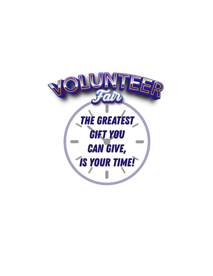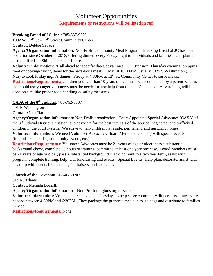# Volunteer Opportunities Requirements or restrictions will be listed in red

### **Breaking Bread of JC, Inc.:** 785-587-9529

 $1002$  W.  $12<sup>th</sup>$  St –  $12<sup>th</sup>$  Street Community Center

**Contact:** Debbie Savage

**Agency/Organization information:** Non-Profit Community Meal Program. Breaking Bread of JC has been in operation since October of 2018, offering dinners every Friday night to individuals and families. Our plan is also to offer Life Skills in the near future.

**Volunteer information:** \*Call ahead for specific dates/days/times. On Occasion, Thursday evening, prepping food or cooking/baking items for the next day's meal. Friday at 10:00AM, usually 1025 S Washington (JC Naz) to cook Friday night's dinner. Friday at 4:30PM at 12<sup>th</sup> St. Community Center to serve meals. **Restrictions/Requirements:** Children younger than 10 years of age must be accompanied by a parent & tasks that could use younger volunteers must be needed to use help from them. \*Call ahead. Any training will be done on site, like proper food handling & safety measures.

#### **CASA of the 8th Judicial:** 785-762-3907

801 N Washington **Contact:** Lisa Hatt

**Agency/Organization information:** Non-Profit organization. Court Appointed Special Advocates (CASA) of the 8<sup>th</sup> Judicial District's mission is to advocate for the best interests of the abused, neglected, and trafficked children in the court system. We strive to help children have safe, permanent, and nurturing homes. **Volunteer information:** We need Volunteer Advocates, Board Members, and help with special events (fundraisers, parades, community events, etc.)

**Restrictions/Requirements:** Volunteer Advocates must be 21 years of age or older, pass a substantial background check, complete 30 hours of training, commit to at least one year/one case. Board Members must be 21 years of age or older, pass a substantial background check, commit to a two year term, assist with program, complete training, help with fundraising and events. Special Events: Help plan, decorate, assist with clean-up with events like parades, fundraisers, and special events.

# **Church of the Covenant** 512-468-9207

314 N. Adams **Contact:** Melinda Bozarth

**Agency/Organization information** – Non-Profit religious organization

**Volunteer information:** Volunteers are needed on Tuesdays to help serve community dinners. Volunteers are needed between 4:30PM and 6:30PM. They package the prepared meals in to-go bags and distribute to families in need.

**Restrictions/Requirements:** None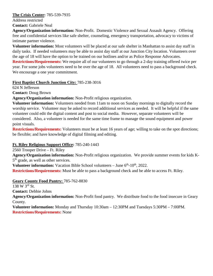#### **The Crisis Center:** 785-539-7935

Address restricted

**Contact:** Gabriele Neal

**Agency/Organization information:** Non-Profit. Domestic Violence and Sexual Assault Agency. Offering free and confidential services like safe shelter, counseling, emergency transportation, advocacy to victims of intimate partner violence.

**Volunteer information:** Most volunteers will be placed at our safe shelter in Manhattan to assist day staff in daily tasks. If needed volunteers may be able to assist day staff at our Junction City location. Volunteers over the age of 18 will have the option to be trained on our hotlines and/or as Police Response Advocates.

**Restrictions/Requirements:** We require all of our volunteers to go through a 2-day training offered twice per year. For some jobs volunteers need to be over the age of 18. All volunteers need to pass a background check. We encourage a one year commitment.

# **First Baptist Church Junction City:** 785-238-3016

624 N Jefferson

**Contact:** Doug Brown

**Agency/Organization information:** Non-Profit religious organization.

**Volunteer information:** Volunteers needed from 11am to noon on Sunday mornings to digitally record the worship service. Volunteer may be asked to record additional services as needed. It will be helpful if the same volunteer could edit the digital content and post to social media. However, separate volunteers will be considered. Also, a volunteer is needed for the same time frame to manage the sound equipment and power point visuals.

**Restrictions/Requirements:** Volunteers must be at least 16 years of age; willing to take on the spot directions; be flexible; and have knowledge of digital filming and editing.

# **Ft. Riley Religious Support Office:** 785-240-1443

2560 Trooper Drive – Ft. Riley

**Agency/Organization information:** Non-Profit religious organization. We provide summer events for kids K-5<sup>th</sup> grade, as well as other services.

**Volunteer information:** Vacation Bible School volunteers – June 6<sup>th</sup>-10<sup>th</sup>, 2022.

**Restrictions/Requirements:** Must be able to pass a background check and be able to access Ft. Riley.

# **Geary County Food Pantry:** 785-762-8830

138 W 3rd St.

**Contact:** Debbie Johns

**Agency/Organization information:** Non-Profit food pantry. We distribute food to the food insecure in Geary County.

**Volunteer information:** Monday and Thursday 10:30am – 12:30PM and Tuesdays 5:30PM – 7:00PM. **Restrictions/Requirements:** None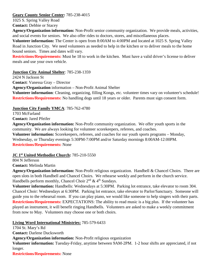#### **Geary County Senior Center:** 785-238-4015

1025 S. Spring Valley Road

**Contact:** Debbie or Stacey

**Agency/Organization information:** Non-Profit senior community organization. We provide meals, activities, and social events for seniors. We also offer rides to doctors, stores, and miscellaneous places.

**Volunteer information:** The Center is open from 8:00AM to 4:00PM and located at 1025 S. Spring Valley Road in Junction City. We need volunteers as needed to help in the kitchen or to deliver meals to the home bound seniors. Times and dates will vary.

**Restrictions/Requirements:** Must be 18 to work in the kitchen. Must have a valid driver's license to deliver meals and use your own vehicle.

**Junction City Animal Shelter**: 785-238-1359

2424 N Jackson St **Contact**: Vanessa Gray – Director **Agency/Organization** information – Non-Profit Animal Shelter **Volunteer information**: Cleaning, organizing, filling Kongs, etc. volunteer times vary on volunteer's schedule! **Restrictions/Requirements:** No handling dogs until 18 years or older. Parents must sign consent form.

**Junction City Family YMCA**: 785-762-4780

1703 McFarland

**Contact:** Jared Pfeifer

**Agency/Organization information:** Non-Profit community organization. We offer youth sports in the community. We are always looking for volunteer scorekeepers, referees, and coaches.

**Volunteer information:** Scorekeepers, referees, and coaches for our youth sports programs – Monday, Wednesday, or Thursday evenings 5:30PM-7:00PM and/or Saturday mornings 8:00AM-12:00PM. **Restrictions/Requirements:** None

**JC 1st United Methodist Church:** 785-210-5550

804 N Jefferson

**Contact:** Melinda Martin

**Agency/Organization information:** Non-Profit religious organization. Handbell & Chancel Choirs. There are open slots in both Handbell and Chancel Choirs. We rehearse weekly and perform in the church service. Handbells perform monthly, Chancel Choir  $2^{nd} \& 4^{th}$  Sundays.

**Volunteer information:** Handbells: Wednesdays at 5:30PM. Parking lot entrance, take elevator to room 304. Chancel Choir: Wednesdays at 6:30PM. Parking lot entrance, take elevator to Parlor/Sanctuary. Someone will guide you to the rehearsal room. If you can play piano, we would like someone to help singers with their parts. **Restrictions/Requirements:** EXPECTATIONS: The ability to read music is a big plus. If the volunteer has played an instrument, it will benefit ringing Handbells. Volunteers are asked to make a weekly commitment from now to May. Volunteers may choose one or both choirs.

**Living Word International Ministries:** 785-579-6433

1704 St. Mary's Rd **Contact:** Darlene Ducksworth **Agency/Organization information:** Non-Profit religious organization **Volunteer information:** Tuesday-Friday, anytime between 9AM-2PM. 1-2 hour shifts are appreciated, if not longer. **Restrictions/Requirements:** None